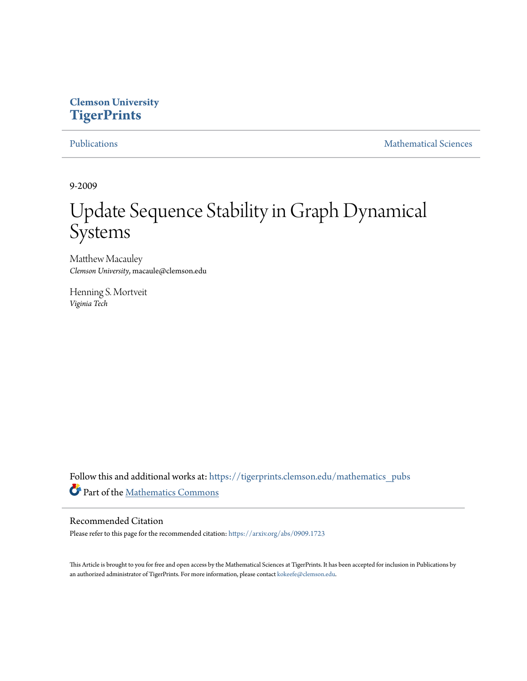## **Clemson University [TigerPrints](https://tigerprints.clemson.edu?utm_source=tigerprints.clemson.edu%2Fmathematics_pubs%2F14&utm_medium=PDF&utm_campaign=PDFCoverPages)**

[Publications](https://tigerprints.clemson.edu/mathematics_pubs?utm_source=tigerprints.clemson.edu%2Fmathematics_pubs%2F14&utm_medium=PDF&utm_campaign=PDFCoverPages) [Mathematical Sciences](https://tigerprints.clemson.edu/mathematics?utm_source=tigerprints.clemson.edu%2Fmathematics_pubs%2F14&utm_medium=PDF&utm_campaign=PDFCoverPages)

9-2009

# Update Sequence Stability in Graph Dynamical Systems

Matthew Macauley *Clemson University*, macaule@clemson.edu

Henning S. Mortveit *Viginia Tech*

Follow this and additional works at: [https://tigerprints.clemson.edu/mathematics\\_pubs](https://tigerprints.clemson.edu/mathematics_pubs?utm_source=tigerprints.clemson.edu%2Fmathematics_pubs%2F14&utm_medium=PDF&utm_campaign=PDFCoverPages) Part of the [Mathematics Commons](http://network.bepress.com/hgg/discipline/174?utm_source=tigerprints.clemson.edu%2Fmathematics_pubs%2F14&utm_medium=PDF&utm_campaign=PDFCoverPages)

#### Recommended Citation

Please refer to this page for the recommended citation: <https://arxiv.org/abs/0909.1723>

This Article is brought to you for free and open access by the Mathematical Sciences at TigerPrints. It has been accepted for inclusion in Publications by an authorized administrator of TigerPrints. For more information, please contact [kokeefe@clemson.edu.](mailto:kokeefe@clemson.edu)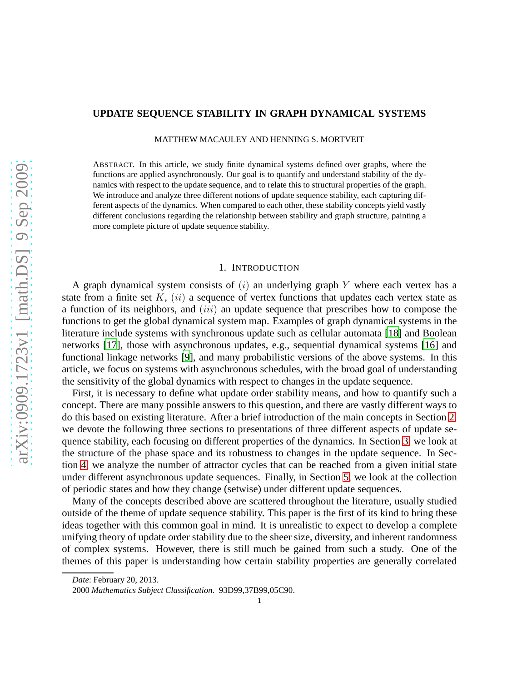### **UPDATE SEQUENCE STABILITY IN GRAPH DYNAMICAL SYSTEMS**

MATTHEW MACAULEY AND HENNING S. MORTVEIT

ABSTRACT. In this article, we study finite dynamical systems defined over graphs, where the functions are applied asynchronously. Our goal is to quantify and understand stability of the dynamics with respect to the update sequence, and to relate this to structural properties of the graph. We introduce and analyze three different notions of update sequence stability, each capturing different aspects of the dynamics. When compared to each other, these stability concepts yield vastly different conclusions regarding the relationship between stability and graph structure, painting a more complete picture of update sequence stability.

#### 1. INTRODUCTION

A graph dynamical system consists of  $(i)$  an underlying graph Y where each vertex has a state from a finite set  $K$ ,  $(ii)$  a sequence of vertex functions that updates each vertex state as a function of its neighbors, and (iii) an update sequence that prescribes how to compose the functions to get the global dynamical system map. Examples of graph dynamical systems in the literature include systems with synchronous update such as cellular automata [\[18](#page-9-0)] and Boolean networks [\[17\]](#page-9-1), those with asynchronous updates, e.g., sequential dynamical systems [\[16\]](#page-9-2) and functional linkage networks [\[9\]](#page-9-3), and many probabilistic versions of the above systems. In this article, we focus on systems with asynchronous schedules, with the broad goal of understanding the sensitivity of the global dynamics with respect to changes in the update sequence.

First, it is necessary to define what update order stability means, and how to quantify such a concept. There are many possible answers to this question, and there are vastly different ways to do this based on existing literature. After a brief introduction of the main concepts in Section [2,](#page-2-0) we devote the following three sections to presentations of three different aspects of update sequence stability, each focusing on different properties of the dynamics. In Section [3,](#page-2-1) we look at the structure of the phase space and its robustness to changes in the update sequence. In Section [4,](#page-5-0) we analyze the number of attractor cycles that can be reached from a given initial state under different asynchronous update sequences. Finally, in Section [5,](#page-7-0) we look at the collection of periodic states and how they change (setwise) under different update sequences.

Many of the concepts described above are scattered throughout the literature, usually studied outside of the theme of update sequence stability. This paper is the first of its kind to bring these ideas together with this common goal in mind. It is unrealistic to expect to develop a complete unifying theory of update order stability due to the sheer size, diversity, and inherent randomness of complex systems. However, there is still much be gained from such a study. One of the themes of this paper is understanding how certain stability properties are generally correlated

*Date*: February 20, 2013.

<sup>2000</sup> *Mathematics Subject Classification.* 93D99,37B99,05C90.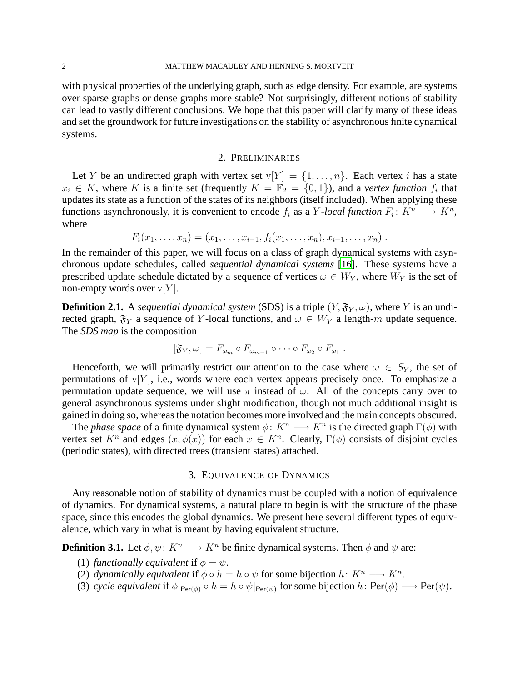with physical properties of the underlying graph, such as edge density. For example, are systems over sparse graphs or dense graphs more stable? Not surprisingly, different notions of stability can lead to vastly different conclusions. We hope that this paper will clarify many of these ideas and set the groundwork for future investigations on the stability of asynchronous finite dynamical systems.

#### 2. PRELIMINARIES

<span id="page-2-0"></span>Let Y be an undirected graph with vertex set  $v[Y] = \{1, \ldots, n\}$ . Each vertex i has a state  $x_i \in K$ , where K is a finite set (frequently  $K = \mathbb{F}_2 = \{0, 1\}$ ), and a *vertex function*  $f_i$  that updates its state as a function of the states of its neighbors (itself included). When applying these functions asynchronously, it is convenient to encode  $f_i$  as a Y-local function  $F_i: K^n \longrightarrow K^n$ , where

$$
F_i(x_1,\ldots,x_n)=(x_1,\ldots,x_{i-1},f_i(x_1,\ldots,x_n),x_{i+1},\ldots,x_n).
$$

In the remainder of this paper, we will focus on a class of graph dynamical systems with asynchronous update schedules, called *sequential dynamical systems* [\[16\]](#page-9-2). These systems have a prescribed update schedule dictated by a sequence of vertices  $\omega \in W_Y$ , where  $W_Y$  is the set of non-empty words over  $v[Y]$ .

**Definition 2.1.** A *sequential dynamical system* (SDS) is a triple  $(Y, \mathfrak{F}_Y, \omega)$ , where Y is an undirected graph,  $\mathfrak{F}_Y$  a sequence of Y-local functions, and  $\omega \in W_Y$  a length-m update sequence. The *SDS map* is the composition

$$
[\mathfrak{F}_Y,\omega]=F_{\omega_m}\circ F_{\omega_{m-1}}\circ\cdots\circ F_{\omega_2}\circ F_{\omega_1}.
$$

Henceforth, we will primarily restrict our attention to the case where  $\omega \in S_Y$ , the set of permutations of  $v[Y]$ , i.e., words where each vertex appears precisely once. To emphasize a permutation update sequence, we will use  $\pi$  instead of  $\omega$ . All of the concepts carry over to general asynchronous systems under slight modification, though not much additional insight is gained in doing so, whereas the notation becomes more involved and the main concepts obscured.

The *phase space* of a finite dynamical system  $\phi: K^n \longrightarrow K^n$  is the directed graph  $\Gamma(\phi)$  with vertex set  $K^n$  and edges  $(x, \phi(x))$  for each  $x \in K^n$ . Clearly,  $\Gamma(\phi)$  consists of disjoint cycles (periodic states), with directed trees (transient states) attached.

#### 3. EQUIVALENCE OF DYNAMICS

<span id="page-2-1"></span>Any reasonable notion of stability of dynamics must be coupled with a notion of equivalence of dynamics. For dynamical systems, a natural place to begin is with the structure of the phase space, since this encodes the global dynamics. We present here several different types of equivalence, which vary in what is meant by having equivalent structure.

**Definition 3.1.** Let  $\phi, \psi \colon K^n \longrightarrow K^n$  be finite dynamical systems. Then  $\phi$  and  $\psi$  are:

- (1) *functionally equivalent* if  $\phi = \psi$ .
- (2) *dynamically equivalent* if  $\phi \circ h = h \circ \psi$  for some bijection  $h \colon K^n \longrightarrow K^n$ .
- (3) *cycle equivalent* if  $\phi|_{\text{Per}(\phi)} \circ h = h \circ \psi|_{\text{Per}(\psi)}$  for some bijection  $h: \text{Per}(\phi) \longrightarrow \text{Per}(\psi)$ .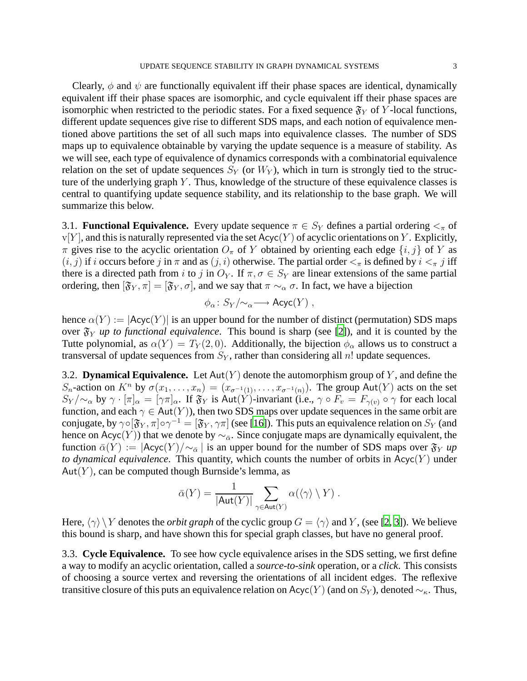Clearly,  $\phi$  and  $\psi$  are functionally equivalent iff their phase spaces are identical, dynamically equivalent iff their phase spaces are isomorphic, and cycle equivalent iff their phase spaces are isomorphic when restricted to the periodic states. For a fixed sequence  $\mathfrak{F}_Y$  of Y-local functions, different update sequences give rise to different SDS maps, and each notion of equivalence mentioned above partitions the set of all such maps into equivalence classes. The number of SDS maps up to equivalence obtainable by varying the update sequence is a measure of stability. As we will see, each type of equivalence of dynamics corresponds with a combinatorial equivalence relation on the set of update sequences  $S_Y$  (or  $W_Y$ ), which in turn is strongly tied to the structure of the underlying graph  $Y$ . Thus, knowledge of the structure of these equivalence classes is central to quantifying update sequence stability, and its relationship to the base graph. We will summarize this below.

3.1. **Functional Equivalence.** Every update sequence  $\pi \in S_Y$  defines a partial ordering  $\lt_{\pi}$  of  $v[Y]$ , and this is naturally represented via the set  $Acyc(Y)$  of acyclic orientations on Y. Explicitly,  $\pi$  gives rise to the acyclic orientation  $O_{\pi}$  of Y obtained by orienting each edge  $\{i, j\}$  of Y as  $(i, j)$  if i occurs before j in  $\pi$  and as  $(j, i)$  otherwise. The partial order  $\lt_{\pi}$  is defined by  $i \lt_{\pi} j$  iff there is a directed path from i to j in  $O_Y$ . If  $\pi, \sigma \in S_Y$  are linear extensions of the same partial ordering, then  $[\mathfrak{F}_Y, \pi] = [\mathfrak{F}_Y, \sigma]$ , and we say that  $\pi \sim_\alpha \sigma$ . In fact, we have a bijection

$$
\phi_{\alpha} \colon S_Y/\!\!\sim_{\alpha} \longrightarrow \mathsf{Acyc}(Y) ,
$$

hence  $\alpha(Y) := |Acyc(Y)|$  is an upper bound for the number of distinct (permutation) SDS maps over  $\mathfrak{F}_Y$  *up to functional equivalence*. This bound is sharp (see [\[2](#page-8-0)]), and it is counted by the Tutte polynomial, as  $\alpha(Y) = T_Y(2,0)$ . Additionally, the bijection  $\phi_\alpha$  allows us to construct a transversal of update sequences from  $S_Y$ , rather than considering all n! update sequences.

3.2. **Dynamical Equivalence.** Let  $Aut(Y)$  denote the automorphism group of Y, and define the S<sub>n</sub>-action on K<sup>n</sup> by  $\sigma(x_1,\ldots,x_n)=(x_{\sigma^{-1}(1)},\ldots,x_{\sigma^{-1}(n)})$ . The group Aut(Y) acts on the set  $S_Y/\sim_\alpha$  by  $\gamma \cdot [\pi]_\alpha = [\gamma \pi]_\alpha$ . If  $\mathfrak{F}_Y$  is Aut $(Y)$ -invariant (i.e.,  $\gamma \circ F_v = F_{\gamma(v)} \circ \gamma$  for each local function, and each  $\gamma \in Aut(Y)$ , then two SDS maps over update sequences in the same orbit are conjugate, by  $\gamma \circ [\mathfrak{F}_Y, \pi] \circ \gamma^{-1} = [\mathfrak{F}_Y, \gamma \pi]$  (see [\[16](#page-9-2)]). This puts an equivalence relation on  $S_Y$  (and hence on Acyc(Y)) that we denote by  $\sim_{\bar{\alpha}}$ . Since conjugate maps are dynamically equivalent, the function  $\bar{\alpha}(Y) := |\text{Acyc}(Y)/\sim_{\bar{\alpha}}|$  is an upper bound for the number of SDS maps over  $\mathfrak{F}_Y$  *up to dynamical equivalence.* This quantity, which counts the number of orbits in  $Acyc(Y)$  under  $Aut(Y)$ , can be computed though Burnside's lemma, as

$$
\bar{\alpha}(Y) = \frac{1}{|\text{Aut}(Y)|} \sum_{\gamma \in \text{Aut}(Y)} \alpha(\langle \gamma \rangle \setminus Y) .
$$

Here,  $\langle \gamma \rangle \backslash Y$  denotes the *orbit graph* of the cyclic group  $G = \langle \gamma \rangle$  and Y, (see [\[2,](#page-8-0) [3](#page-8-1)]). We believe this bound is sharp, and have shown this for special graph classes, but have no general proof.

3.3. **Cycle Equivalence.** To see how cycle equivalence arises in the SDS setting, we first define a way to modify an acyclic orientation, called a *source-to-sink* operation, or a *click*. This consists of choosing a source vertex and reversing the orientations of all incident edges. The reflexive transitive closure of this puts an equivalence relation on Acyc(Y) (and on  $S_Y$ ), denoted  $\sim_{\kappa}$ . Thus,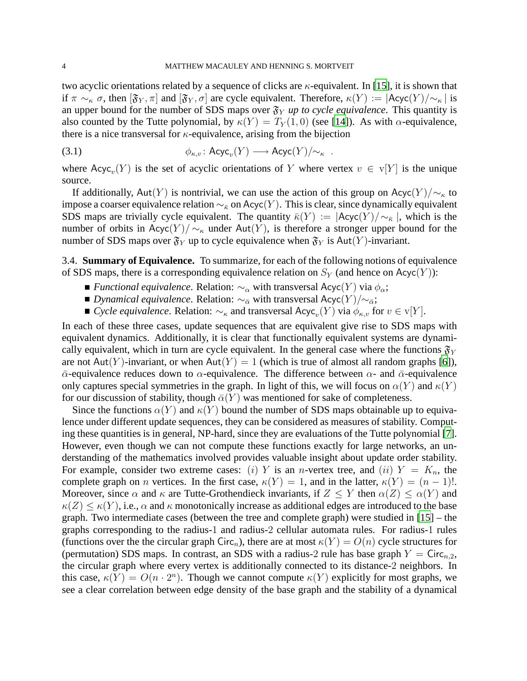two acyclic orientations related by a sequence of clicks are  $\kappa$ -equivalent. In [\[15](#page-9-4)], it is shown that if  $\pi \sim_{\kappa} \sigma$ , then  $[\mathfrak{F}_Y, \pi]$  and  $[\mathfrak{F}_Y, \sigma]$  are cycle equivalent. Therefore,  $\kappa(Y) := |{\sf Acyc}(Y)/{\sim_{\kappa}}|$  is an upper bound for the number of SDS maps over  $\mathfrak{F}_Y$  *up to cycle equivalence*. This quantity is also counted by the Tutte polynomial, by  $\kappa(Y) = T_Y(1,0)$  (see [\[14\]](#page-9-5)). As with  $\alpha$ -equivalence, there is a nice transversal for  $\kappa$ -equivalence, arising from the bijection

(3.1) 
$$
\phi_{\kappa,v} : \mathsf{Acyc}_v(Y) \longrightarrow \mathsf{Acyc}(Y)/\sim_{\kappa}.
$$

where  $Acyc_v(Y)$  is the set of acyclic orientations of Y where vertex  $v \in V[Y]$  is the unique source.

If additionally, Aut(Y) is nontrivial, we can use the action of this group on Acyc(Y)/ $\sim_{\kappa}$  to impose a coarser equivalence relation  $\sim_{\overline{\kappa}}$  on Acyc(Y). This is clear, since dynamically equivalent SDS maps are trivially cycle equivalent. The quantity  $\bar{\kappa}(Y) := |\text{Acyc}(Y)/\sim_{\bar{\kappa}}|$ , which is the number of orbits in Acyc $(Y)/\sim_{\kappa}$  under Aut $(Y)$ , is therefore a stronger upper bound for the number of SDS maps over  $\mathfrak{F}_Y$  up to cycle equivalence when  $\mathfrak{F}_Y$  is Aut $(Y)$ -invariant.

3.4. **Summary of Equivalence.** To summarize, for each of the following notions of equivalence of SDS maps, there is a corresponding equivalence relation on  $S_Y$  (and hence on Acyc(Y)):

- **■** *Functional equivalence*. Relation:  $\sim_{\alpha}$  with transversal Acyc(Y) via  $\phi_{\alpha}$ ;
- *Dynamical equivalence*. Relation:  $\sim_{\bar{\alpha}}$  with transversal Acyc(Y)/ $\sim_{\bar{\alpha}}$ ;
- *Cycle equivalence.* Relation:  $\sim_{\kappa}$  and transversal Acyc<sub>v</sub> $(Y)$  via  $\phi_{\kappa,v}$  for  $v \in \text{v}[Y]$ .

In each of these three cases, update sequences that are equivalent give rise to SDS maps with equivalent dynamics. Additionally, it is clear that functionally equivalent systems are dynamically equivalent, which in turn are cycle equivalent. In the general case where the functions  $\mathfrak{F}_Y$ are not Aut(Y)-invariant, or when Aut(Y) = 1 (which is true of almost all random graphs [\[6](#page-9-6)]),  $\bar{\alpha}$ -equivalence reduces down to  $\alpha$ -equivalence. The difference between  $\alpha$ - and  $\bar{\alpha}$ -equivalence only captures special symmetries in the graph. In light of this, we will focus on  $\alpha(Y)$  and  $\kappa(Y)$ for our discussion of stability, though  $\bar{\alpha}(Y)$  was mentioned for sake of completeness.

Since the functions  $\alpha(Y)$  and  $\kappa(Y)$  bound the number of SDS maps obtainable up to equivalence under different update sequences, they can be considered as measures of stability. Computing these quantities is in general, NP-hard, since they are evaluations of the Tutte polynomial [\[7](#page-9-7)]. However, even though we can not compute these functions exactly for large networks, an understanding of the mathematics involved provides valuable insight about update order stability. For example, consider two extreme cases: (i) Y is an *n*-vertex tree, and (ii)  $Y = K_n$ , the complete graph on *n* vertices. In the first case,  $\kappa(Y) = 1$ , and in the latter,  $\kappa(Y) = (n-1)!$ . Moreover, since  $\alpha$  and  $\kappa$  are Tutte-Grothendieck invariants, if  $Z \leq Y$  then  $\alpha(Z) \leq \alpha(Y)$  and  $\kappa(Z) \leq \kappa(Y)$ , i.e.,  $\alpha$  and  $\kappa$  monotonically increase as additional edges are introduced to the base graph. Two intermediate cases (between the tree and complete graph) were studied in [\[15](#page-9-4)] – the graphs corresponding to the radius-1 and radius-2 cellular automata rules. For radius-1 rules (functions over the the circular graph Circ<sub>n</sub>), there are at most  $\kappa(Y) = O(n)$  cycle structures for (permutation) SDS maps. In contrast, an SDS with a radius-2 rule has base graph  $Y = \text{Circ}_{n,2}$ , the circular graph where every vertex is additionally connected to its distance-2 neighbors. In this case,  $\kappa(Y) = O(n \cdot 2^n)$ . Though we cannot compute  $\kappa(Y)$  explicitly for most graphs, we see a clear correlation between edge density of the base graph and the stability of a dynamical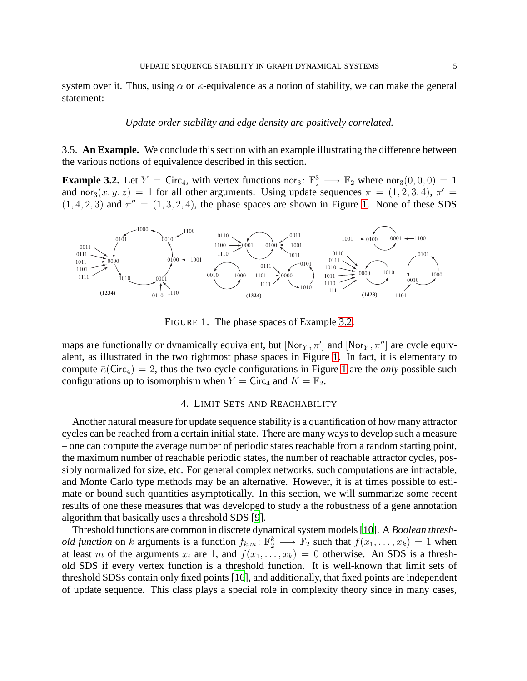system over it. Thus, using  $\alpha$  or  $\kappa$ -equivalence as a notion of stability, we can make the general statement:

#### *Update order stability and edge density are positively correlated.*

3.5. **An Example.** We conclude this section with an example illustrating the difference between the various notions of equivalence described in this section.

<span id="page-5-2"></span>**Example 3.2.** Let  $Y = \text{Circ}_4$ , with vertex functions nor<sub>3</sub>:  $\mathbb{F}_2^3 \longrightarrow \mathbb{F}_2$  where nor<sub>3</sub> $(0,0,0) = 1$ and nor<sub>3</sub> $(x, y, z) = 1$  for all other arguments. Using update sequences  $\pi = (1, 2, 3, 4)$ ,  $\pi' =$  $(1, 4, 2, 3)$  and  $\pi'' = (1, 3, 2, 4)$ , the phase spaces are shown in Figure [1.](#page-5-1) None of these SDS



<span id="page-5-1"></span>FIGURE 1. The phase spaces of Example [3.2.](#page-5-2)

maps are functionally or dynamically equivalent, but [Nor $_Y$ ,  $\pi$ <sup>'</sup>] and [Nor $_Y$ ,  $\pi$ <sup>''</sup>] are cycle equivalent, as illustrated in the two rightmost phase spaces in Figure [1.](#page-5-1) In fact, it is elementary to compute  $\bar{\kappa}$ (Circ<sub>4</sub>) = 2, thus the two cycle configurations in Figure [1](#page-5-1) are the *only* possible such configurations up to isomorphism when  $Y = \text{Circ}_4$  and  $K = \mathbb{F}_2$ .

#### 4. LIMIT SETS AND REACHABILITY

<span id="page-5-0"></span>Another natural measure for update sequence stability is a quantification of how many attractor cycles can be reached from a certain initial state. There are many ways to develop such a measure – one can compute the average number of periodic states reachable from a random starting point, the maximum number of reachable periodic states, the number of reachable attractor cycles, possibly normalized for size, etc. For general complex networks, such computations are intractable, and Monte Carlo type methods may be an alternative. However, it is at times possible to estimate or bound such quantities asymptotically. In this section, we will summarize some recent results of one these measures that was developed to study a the robustness of a gene annotation algorithm that basically uses a threshold SDS [\[9](#page-9-3)].

Threshold functions are common in discrete dynamical system models [\[10](#page-9-8)]. A *Boolean threshold function* on k arguments is a function  $f_{k,m}$ :  $\mathbb{F}_2^k \longrightarrow \mathbb{F}_2$  such that  $f(x_1, \ldots, x_k) = 1$  when at least m of the arguments  $x_i$  are 1, and  $f(x_1, \ldots, x_k) = 0$  otherwise. An SDS is a threshold SDS if every vertex function is a threshold function. It is well-known that limit sets of threshold SDSs contain only fixed points [\[16\]](#page-9-2), and additionally, that fixed points are independent of update sequence. This class plays a special role in complexity theory since in many cases,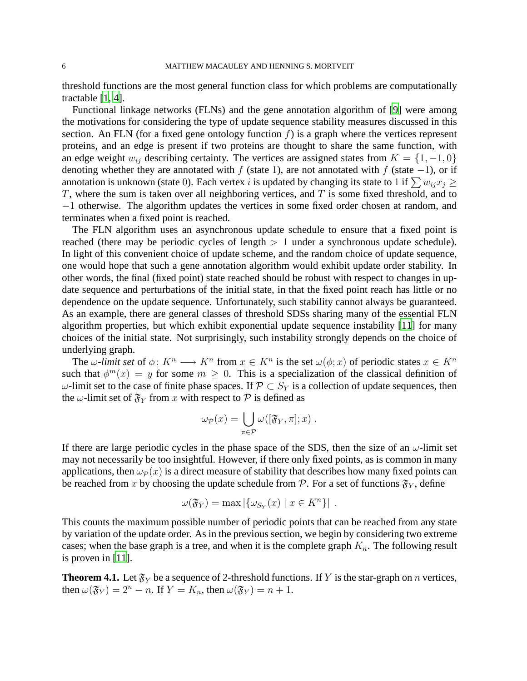threshold functions are the most general function class for which problems are computationally tractable [\[1](#page-8-2), [4](#page-8-3)].

Functional linkage networks (FLNs) and the gene annotation algorithm of [\[9\]](#page-9-3) were among the motivations for considering the type of update sequence stability measures discussed in this section. An FLN (for a fixed gene ontology function  $f$ ) is a graph where the vertices represent proteins, and an edge is present if two proteins are thought to share the same function, with an edge weight  $w_{ij}$  describing certainty. The vertices are assigned states from  $K = \{1, -1, 0\}$ denoting whether they are annotated with f (state 1), are not annotated with f (state  $-1$ ), or if annotation is unknown (state 0). Each vertex i is updated by changing its state to 1 if  $\sum w_{ij}x_j \geq$ T, where the sum is taken over all neighboring vertices, and  $T$  is some fixed threshold, and to −1 otherwise. The algorithm updates the vertices in some fixed order chosen at random, and terminates when a fixed point is reached.

The FLN algorithm uses an asynchronous update schedule to ensure that a fixed point is reached (there may be periodic cycles of length  $> 1$  under a synchronous update schedule). In light of this convenient choice of update scheme, and the random choice of update sequence, one would hope that such a gene annotation algorithm would exhibit update order stability. In other words, the final (fixed point) state reached should be robust with respect to changes in update sequence and perturbations of the initial state, in that the fixed point reach has little or no dependence on the update sequence. Unfortunately, such stability cannot always be guaranteed. As an example, there are general classes of threshold SDSs sharing many of the essential FLN algorithm properties, but which exhibit exponential update sequence instability [\[11\]](#page-9-9) for many choices of the initial state. Not surprisingly, such instability strongly depends on the choice of underlying graph.

The  $\omega$ -limit set of  $\phi: K^n \longrightarrow K^n$  from  $x \in K^n$  is the set  $\omega(\phi; x)$  of periodic states  $x \in K^n$ such that  $\phi^m(x) = y$  for some  $m \geq 0$ . This is a specialization of the classical definition of  $ω$ -limit set to the case of finite phase spaces. If  $\mathcal{P} \subset S_Y$  is a collection of update sequences, then the  $\omega$ -limit set of  $\mathfrak{F}_Y$  from x with respect to P is defined as

$$
\omega_{\mathcal{P}}(x) = \bigcup_{\pi \in \mathcal{P}} \omega([\mathfrak{F}_Y, \pi]; x) .
$$

If there are large periodic cycles in the phase space of the SDS, then the size of an  $\omega$ -limit set may not necessarily be too insightful. However, if there only fixed points, as is common in many applications, then  $\omega_{\mathcal{P}}(x)$  is a direct measure of stability that describes how many fixed points can be reached from x by choosing the update schedule from P. For a set of functions  $\mathfrak{F}_{Y}$ , define

$$
\omega(\mathfrak{F}_Y) = \max |\{\omega_{S_Y}(x) \mid x \in K^n\}|.
$$

This counts the maximum possible number of periodic points that can be reached from any state by variation of the update order. As in the previous section, we begin by considering two extreme cases; when the base graph is a tree, and when it is the complete graph  $K_n$ . The following result is proven in [\[11\]](#page-9-9).

**Theorem 4.1.** Let  $\mathfrak{F}_Y$  be a sequence of 2-threshold functions. If Y is the star-graph on n vertices, then  $\omega(\mathfrak{F}_Y) = 2^n - n$ . If  $Y = K_n$ , then  $\omega(\mathfrak{F}_Y) = n + 1$ .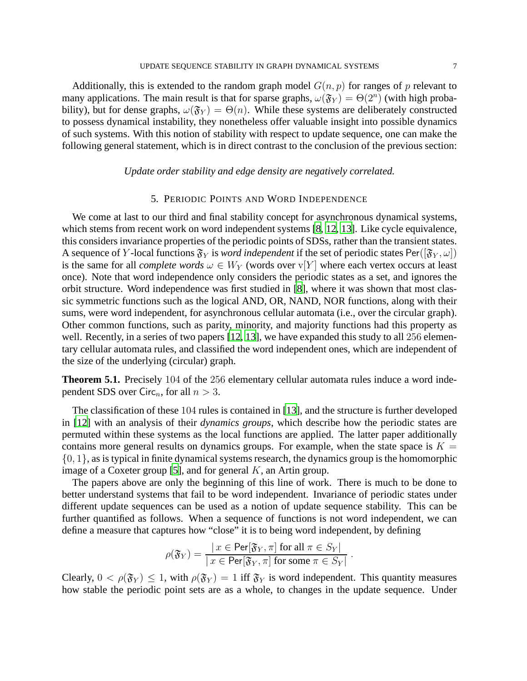Additionally, this is extended to the random graph model  $G(n, p)$  for ranges of p relevant to many applications. The main result is that for sparse graphs,  $\omega(\mathfrak{F}_Y) = \Theta(2^n)$  (with high probability), but for dense graphs,  $\omega(\mathfrak{F}_Y) = \Theta(n)$ . While these systems are deliberately constructed to possess dynamical instability, they nonetheless offer valuable insight into possible dynamics of such systems. With this notion of stability with respect to update sequence, one can make the following general statement, which is in direct contrast to the conclusion of the previous section:

#### *Update order stability and edge density are negatively correlated.*

#### 5. PERIODIC POINTS AND WORD INDEPENDENCE

<span id="page-7-0"></span>We come at last to our third and final stability concept for asynchronous dynamical systems, which stems from recent work on word independent systems [\[8,](#page-9-10) [12,](#page-9-11) [13\]](#page-9-12). Like cycle equivalence, this considers invariance properties of the periodic points of SDSs, rather than the transient states. A sequence of Y-local functions  $\mathfrak{F}_Y$  is *word independent* if the set of periodic states Per( $[\mathfrak{F}_Y, \omega]$ ) is the same for all *complete words*  $\omega \in W_Y$  (words over v[Y] where each vertex occurs at least once). Note that word independence only considers the periodic states as a set, and ignores the orbit structure. Word independence was first studied in [\[8](#page-9-10)], where it was shown that most classic symmetric functions such as the logical AND, OR, NAND, NOR functions, along with their sums, were word independent, for asynchronous cellular automata (i.e., over the circular graph). Other common functions, such as parity, minority, and majority functions had this property as well. Recently, in a series of two papers [\[12,](#page-9-11) [13](#page-9-12)], we have expanded this study to all 256 elementary cellular automata rules, and classified the word independent ones, which are independent of the size of the underlying (circular) graph.

**Theorem 5.1.** Precisely 104 of the 256 elementary cellular automata rules induce a word independent SDS over Circ<sub>n</sub>, for all  $n > 3$ .

The classification of these 104 rules is contained in [\[13\]](#page-9-12), and the structure is further developed in [\[12](#page-9-11)] with an analysis of their *dynamics groups*, which describe how the periodic states are permuted within these systems as the local functions are applied. The latter paper additionally contains more general results on dynamics groups. For example, when the state space is  $K =$  $\{0, 1\}$ , as is typical in finite dynamical systems research, the dynamics group is the homomorphic image of a Coxeter group [\[5](#page-9-13)], and for general  $K$ , an Artin group.

The papers above are only the beginning of this line of work. There is much to be done to better understand systems that fail to be word independent. Invariance of periodic states under different update sequences can be used as a notion of update sequence stability. This can be further quantified as follows. When a sequence of functions is not word independent, we can define a measure that captures how "close" it is to being word independent, by defining

$$
\rho(\mathfrak{F}_Y) = \frac{|x \in \operatorname{Per}[\mathfrak{F}_Y, \pi] \text{ for all } \pi \in S_Y|}{|x \in \operatorname{Per}[\mathfrak{F}_Y, \pi] \text{ for some } \pi \in S_Y|}.
$$

Clearly,  $0 < \rho(\mathfrak{F}_Y) \leq 1$ , with  $\rho(\mathfrak{F}_Y) = 1$  iff  $\mathfrak{F}_Y$  is word independent. This quantity measures how stable the periodic point sets are as a whole, to changes in the update sequence. Under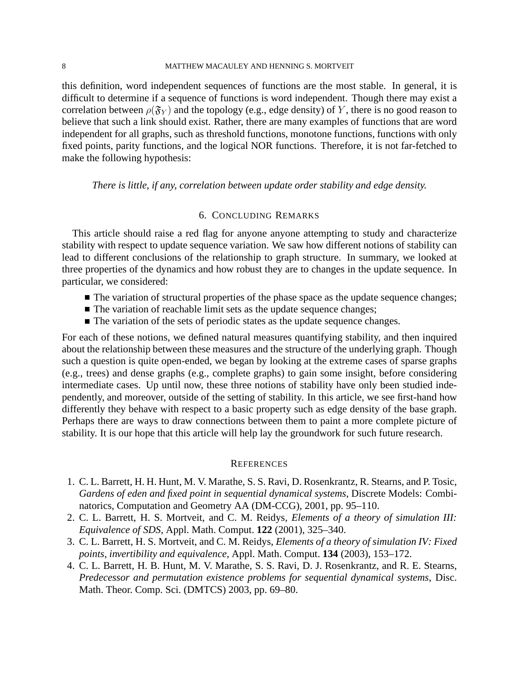this definition, word independent sequences of functions are the most stable. In general, it is difficult to determine if a sequence of functions is word independent. Though there may exist a correlation between  $\rho(\mathfrak{F}_Y)$  and the topology (e.g., edge density) of Y, there is no good reason to believe that such a link should exist. Rather, there are many examples of functions that are word independent for all graphs, such as threshold functions, monotone functions, functions with only fixed points, parity functions, and the logical NOR functions. Therefore, it is not far-fetched to make the following hypothesis:

#### *There is little, if any, correlation between update order stability and edge density.*

#### 6. CONCLUDING REMARKS

This article should raise a red flag for anyone anyone attempting to study and characterize stability with respect to update sequence variation. We saw how different notions of stability can lead to different conclusions of the relationship to graph structure. In summary, we looked at three properties of the dynamics and how robust they are to changes in the update sequence. In particular, we considered:

- $\blacksquare$  The variation of structural properties of the phase space as the update sequence changes;
- $\blacksquare$  The variation of reachable limit sets as the update sequence changes;
- $\blacksquare$  The variation of the sets of periodic states as the update sequence changes.

For each of these notions, we defined natural measures quantifying stability, and then inquired about the relationship between these measures and the structure of the underlying graph. Though such a question is quite open-ended, we began by looking at the extreme cases of sparse graphs (e.g., trees) and dense graphs (e.g., complete graphs) to gain some insight, before considering intermediate cases. Up until now, these three notions of stability have only been studied independently, and moreover, outside of the setting of stability. In this article, we see first-hand how differently they behave with respect to a basic property such as edge density of the base graph. Perhaps there are ways to draw connections between them to paint a more complete picture of stability. It is our hope that this article will help lay the groundwork for such future research.

#### **REFERENCES**

- <span id="page-8-2"></span>1. C. L. Barrett, H. H. Hunt, M. V. Marathe, S. S. Ravi, D. Rosenkrantz, R. Stearns, and P. Tosic, *Gardens of eden and fixed point in sequential dynamical systems*, Discrete Models: Combinatorics, Computation and Geometry AA (DM-CCG), 2001, pp. 95–110.
- <span id="page-8-0"></span>2. C. L. Barrett, H. S. Mortveit, and C. M. Reidys, *Elements of a theory of simulation III: Equivalence of SDS*, Appl. Math. Comput. **122** (2001), 325–340.
- <span id="page-8-1"></span>3. C. L. Barrett, H. S. Mortveit, and C. M. Reidys, *Elements of a theory of simulation IV: Fixed points, invertibility and equivalence*, Appl. Math. Comput. **134** (2003), 153–172.
- <span id="page-8-3"></span>4. C. L. Barrett, H. B. Hunt, M. V. Marathe, S. S. Ravi, D. J. Rosenkrantz, and R. E. Stearns, *Predecessor and permutation existence problems for sequential dynamical systems*, Disc. Math. Theor. Comp. Sci. (DMTCS) 2003, pp. 69–80.